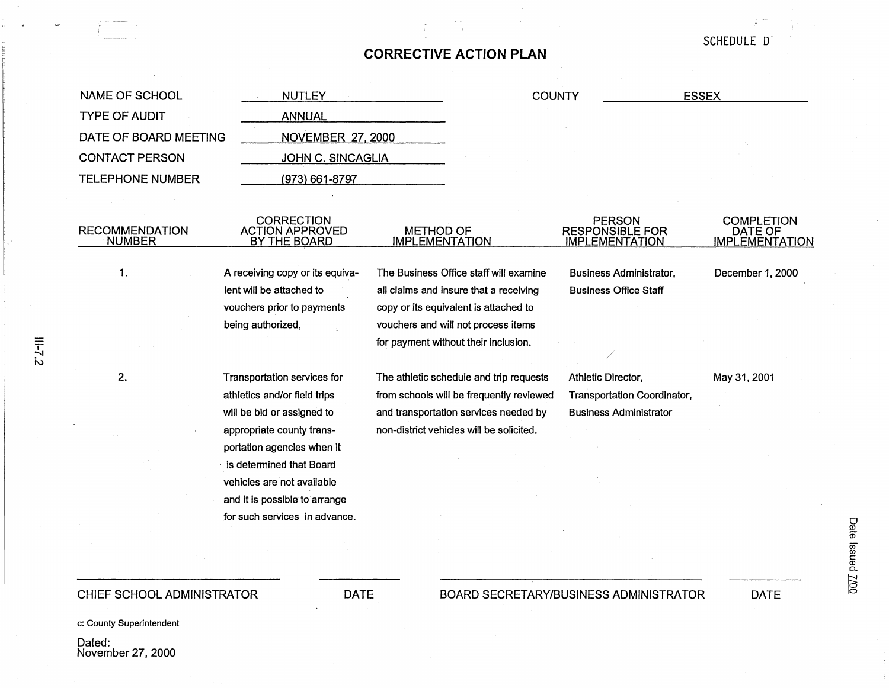## **CORRECTIVE ACTION PLAN**

NAME OF SCHOOL TYPE OF AUDIT NUTLEY ANNUAL **COUNTY** DATE OF BOARD MEETING CONTACT PERSON TELEPHONE NUMBER **NOVEMBER 27, 2000** RECOMMENDATION NUMBER 1. 2. JOHN C. SINCAGLIA (973) 661-8797 CORRECTION ACTION APPROVED BY THE BOARD A receiving copy or its equivalent will be attached to vouchers prior to payments being authorized, METHOD OF IMPLEMENTATION The Business Office staff will examine all claims and insure that a receiving copy or its equivalent is attached to vouchers and will not process items for payment without their inclusion. PERSON RESPONSIBLE FOR IMPLEMENTATION Business Administrator, Business Office Staff Transportation services for The athletic schedule and trip requests Athletic Director, May 31, 2001 ESSEX **COMPLETION** DATE OF **IMPLEMENTATION** December 1, 2000 athletics and/or field trips will be bid or assigned to appropriate county transportation agencies when it from schools will be frequently reviewed Transportation Coordinator, is determined that Board vehicles are not available and it is possible to arrange for such services in advance. and transportation services needed by non-district vehicles will be solicited. Business Administrator

## CHIEF SCHOOL ADMINISTRATOR DATE

c: County Superintendent

Dated: November 27, 2000 BOARD SECRETARY/BUSINESS ADMINISTRATOR DATE

SCHEDULE D

Date lssue ate Issued <u>7/00</u>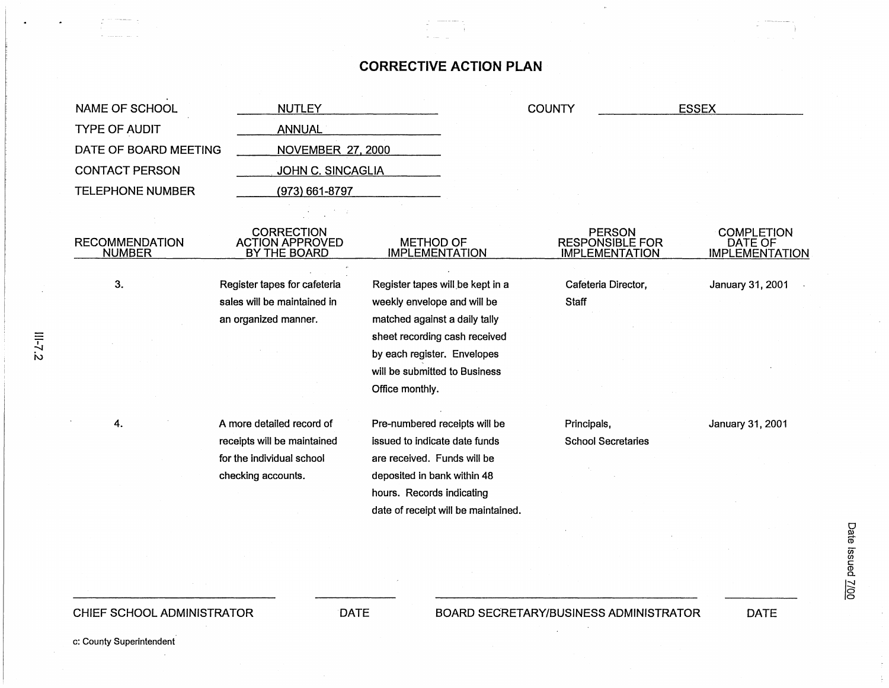## **CORRECTIVE ACTION PLAN**

| NAME OF SCHOOL                             | <b>NUTLEY</b>                                               |                                           | <b>COUNTY</b>                                                    | <b>ESSEX</b>                                          |
|--------------------------------------------|-------------------------------------------------------------|-------------------------------------------|------------------------------------------------------------------|-------------------------------------------------------|
| <b>TYPE OF AUDIT</b>                       | <b>ANNUAL</b>                                               |                                           |                                                                  |                                                       |
| DATE OF BOARD MEETING                      | <b>NOVEMBER 27, 2000</b>                                    |                                           |                                                                  |                                                       |
| <b>CONTACT PERSON</b><br>JOHN C. SINCAGLIA |                                                             |                                           |                                                                  |                                                       |
| <b>TELEPHONE NUMBER</b>                    | $(973) 661 - 8797$                                          |                                           |                                                                  |                                                       |
|                                            |                                                             |                                           |                                                                  |                                                       |
| <b>RECOMMENDATION</b><br><b>NUMBER</b>     | <b>CORRECTION</b><br><b>ACTION APPROVED</b><br>BY THE BOARD | <b>METHOD OF</b><br><b>IMPLEMENTATION</b> | <b>PERSON</b><br><b>RESPONSIBLE FOR</b><br><b>IMPLEMENTATION</b> | <b>COMPLETION</b><br>DATE OF<br><b>IMPLEMENTATION</b> |
| 3.                                         | Register tapes for cafeteria                                | Register tapes will be kept in a          | Cafeteria Director,                                              | January 31, 2001                                      |
|                                            | sales will be maintained in                                 | weekly envelope and will be               | <b>Staff</b>                                                     |                                                       |
|                                            | an organized manner.                                        | matched against a daily tally             |                                                                  |                                                       |
|                                            |                                                             | sheet recording cash received             |                                                                  |                                                       |
|                                            |                                                             | by each register. Envelopes               |                                                                  |                                                       |
|                                            |                                                             | will be submitted to Business             |                                                                  |                                                       |
|                                            |                                                             | Office monthly.                           |                                                                  |                                                       |
| 4.                                         | A more detailed record of                                   | Pre-numbered receipts will be             | Principals,                                                      | January 31, 2001                                      |
|                                            | receipts will be maintained                                 | issued to indicate date funds             | <b>School Secretaries</b>                                        |                                                       |
|                                            | for the individual school                                   | are received. Funds will be               |                                                                  |                                                       |
|                                            | checking accounts.                                          | deposited in bank within 48               |                                                                  |                                                       |
|                                            |                                                             | hours. Records indicating                 |                                                                  |                                                       |
|                                            |                                                             | date of receipt will be maintained.       |                                                                  |                                                       |
|                                            |                                                             |                                           |                                                                  |                                                       |
|                                            |                                                             |                                           |                                                                  |                                                       |
|                                            |                                                             |                                           |                                                                  |                                                       |

 $\overline{\phantom{a}}$  $~\sim$ 

c: County Superintendent